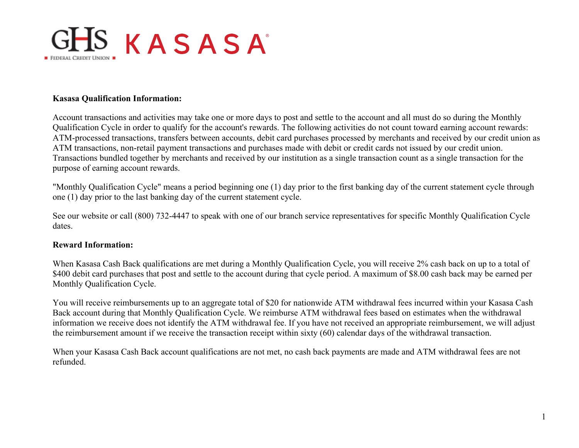

## **Kasasa Qualification Information:**

Account transactions and activities may take one or more days to post and settle to the account and all must do so during the Monthly Qualification Cycle in order to qualify for the account's rewards. The following activities do not count toward earning account rewards: ATM-processed transactions, transfers between accounts, debit card purchases processed by merchants and received by our credit union as ATM transactions, non-retail payment transactions and purchases made with debit or credit cards not issued by our credit union. Transactions bundled together by merchants and received by our institution as a single transaction count as a single transaction for the purpose of earning account rewards.

"Monthly Qualification Cycle" means a period beginning one (1) day prior to the first banking day of the current statement cycle through one (1) day prior to the last banking day of the current statement cycle.

See our website or call (800) 732-4447 to speak with one of our branch service representatives for specific Monthly Qualification Cycle dates.

## **Reward Information:**

When Kasasa Cash Back qualifications are met during a Monthly Qualification Cycle, you will receive 2% cash back on up to a total of \$400 debit card purchases that post and settle to the account during that cycle period. A maximum of \$8.00 cash back may be earned per Monthly Qualification Cycle.

You will receive reimbursements up to an aggregate total of \$20 for nationwide ATM withdrawal fees incurred within your Kasasa Cash Back account during that Monthly Qualification Cycle. We reimburse ATM withdrawal fees based on estimates when the withdrawal information we receive does not identify the ATM withdrawal fee. If you have not received an appropriate reimbursement, we will adjust the reimbursement amount if we receive the transaction receipt within sixty (60) calendar days of the withdrawal transaction.

When your Kasasa Cash Back account qualifications are not met, no cash back payments are made and ATM withdrawal fees are not refunded.